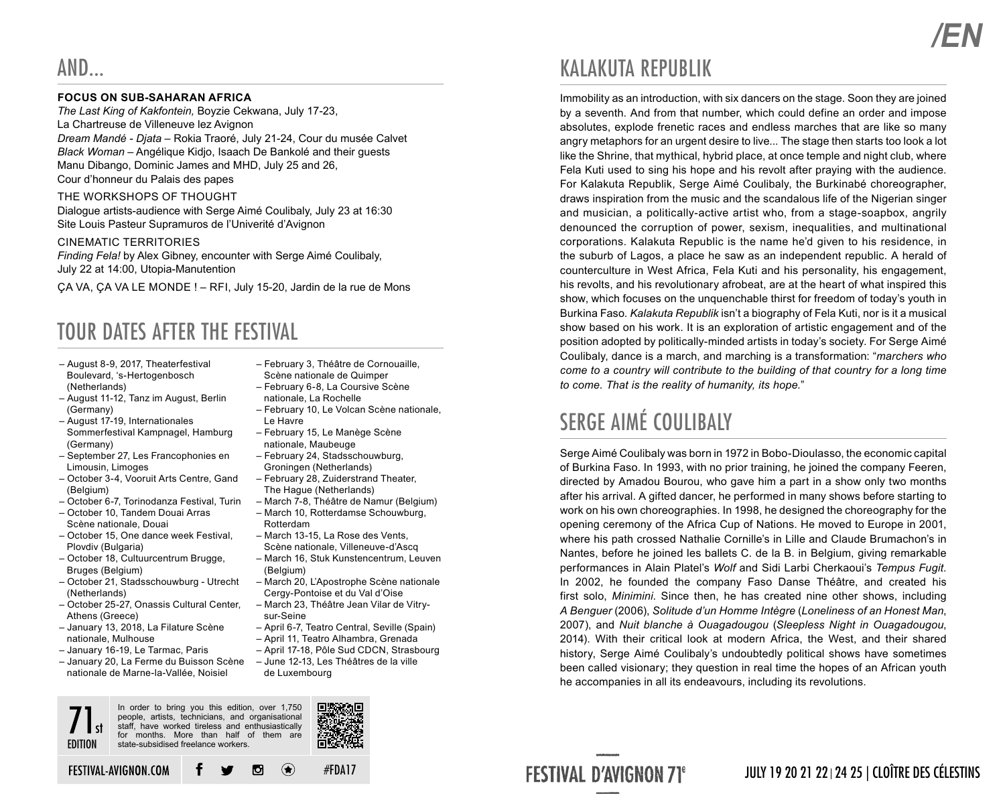### **FOCUS ON SUB-SAHARAN AFRICA**

*The Last King of Kakfontein,* Boyzie Cekwana, July 17-23, La Chartreuse de Villeneuve lez Avignon *Dream Mandé - Djata* – Rokia Traoré, July 21-24, Cour du musée Calvet *Black Woman* – Angélique Kidjo, Isaach De Bankolé and their guests Manu Dibango, Dominic James and MHD, July 25 and 26, Cour d'honneur du Palais des papes

#### THE WORKSHOPS OF THOUGHT

Dialogue artists-audience with Serge Aimé Coulibaly, July 23 at 16:30 Site Louis Pasteur Supramuros de l'Univerité d'Avignon

#### CINEMATIC TERRITORIES

*Finding Fela!* by Alex Gibney, encounter with Serge Aimé Coulibaly, July 22 at 14:00, Utopia-Manutention

ÇA VA, ÇA VA LE MONDE ! – RFI, July 15-20, Jardin de la rue de Mons

## TOUR DATES AFTER THE FESTIVAL

- August 8-9, 2017, Theaterfestival Boulevard, 's-Hertogenbosch (Netherlands)
- August 11-12, Tanz im August, Berlin (Germany)
- August 17-19, Internationales Sommerfestival Kampnagel, Hamburg (Germany)
- September 27, Les Francophonies en Limousin, Limoges
- October 3-4, Vooruit Arts Centre, Gand (Belgium)
- October 6-7, Torinodanza Festival, Turin – October 10, Tandem Douai Arras
- Scène nationale, Douai
- October 15, One dance week Festival, Plovdiv (Bulgaria)
- October 18, Cultuurcentrum Brugge, Bruges (Belgium)
- October 21, Stadsschouwburg Utrecht (Netherlands)
- October 25-27, Onassis Cultural Center, Athens (Greece)
- January 13, 2018, La Filature Scène nationale, Mulhouse
- January 16-19, Le Tarmac, Paris
- January 20, La Ferme du Buisson Scène nationale de Marne-la-Vallée, Noisiel
- February 3, Théâtre de Cornouaille,
- 
- February 10, Le Volcan Scène nationale, Le Havre
- February 15, Le Manège Scène nationale, Maubeuge
- February 24, Stadsschouwburg, Groningen (Netherlands)
- February 28, Zuiderstrand Theater, The Hague (Netherlands)
- March 7-8, Théâtre de Namur (Belgium)
- March 10, Rotterdamse Schouwburg, Rotterdam
- March 13-15, La Rose des Vents, Scène nationale, Villeneuve-d'Ascq
- March 16, Stuk Kunstencentrum, Leuven (Belgium)
- March 20, L'Apostrophe Scène nationale Cergy-Pontoise et du Val d'Oise
- March 23, Théâtre Jean Vilar de Vitrysur-Seine
- April 6-7, Teatro Central, Seville (Spain)
- April 11, Teatro Alhambra, Grenada

#FDA17

- April 17-18, Pôle Sud CDCN, Strasbourg – June 12-13, Les Théâtres de la ville
	- de Luxembourg

## KALAKUTA REPUBLIK

Immobility as an introduction, with six dancers on the stage. Soon they are joined by a seventh. And from that number, which could define an order and impose absolutes, explode frenetic races and endless marches that are like so many angry metaphors for an urgent desire to live... The stage then starts too look a lot like the Shrine, that mythical, hybrid place, at once temple and night club, where Fela Kuti used to sing his hope and his revolt after praying with the audience. For Kalakuta Republik, Serge Aimé Coulibaly, the Burkinabé choreographer, draws inspiration from the music and the scandalous life of the Nigerian singer and musician, a politically-active artist who, from a stage-soapbox, angrily denounced the corruption of power, sexism, inequalities, and multinational corporations. Kalakuta Republic is the name he'd given to his residence, in the suburb of Lagos, a place he saw as an independent republic. A herald of counterculture in West Africa, Fela Kuti and his personality, his engagement, his revolts, and his revolutionary afrobeat, are at the heart of what inspired this show, which focuses on the unquenchable thirst for freedom of today's youth in Burkina Faso. *Kalakuta Republik* isn't a biography of Fela Kuti, nor is it a musical show based on his work. It is an exploration of artistic engagement and of the position adopted by politically-minded artists in today's society. For Serge Aimé Coulibaly, dance is a march, and marching is a transformation: "*marchers who come to a country will contribute to the building of that country for a long time to come. That is the reality of humanity, its hope.*"

## SERGE AIMÉ COILLIBALY

Serge Aimé Coulibaly was born in 1972 in Bobo-Dioulasso, the economic capital of Burkina Faso. In 1993, with no prior training, he joined the company Feeren, directed by Amadou Bourou, who gave him a part in a show only two months after his arrival. A gifted dancer, he performed in many shows before starting to work on his own choreographies. In 1998, he designed the choreography for the opening ceremony of the Africa Cup of Nations. He moved to Europe in 2001, where his path crossed Nathalie Cornille's in Lille and Claude Brumachon's in Nantes, before he joined les ballets C. de la B. in Belgium, giving remarkable performances in Alain Platel's *Wolf* and Sidi Larbi Cherkaoui's *Tempus Fugit*. In 2002, he founded the company Faso Danse Théâtre, and created his first solo, *Minimini*. Since then, he has created nine other shows, including *A Benguer* (2006), *Solitude d'un Homme Intègre* (*Loneliness of an Honest Man*, 2007), and *Nuit blanche à Ouagadougou* (*Sleepless Night in Ouagadougou*, 2014). With their critical look at modern Africa, the West, and their shared history, Serge Aimé Coulibaly's undoubtedly political shows have sometimes been called visionary; they question in real time the hopes of an African youth he accompanies in all its endeavours, including its revolutions.

**FESTIVAL D'AVIGNON 71°** 

### JULY 19 20 21 22 24 25 | CLOÎTRE DES CÉLESTINS





 $\bigcirc$ 



Scène nationale de Quimper – February 6-8, La Coursive Scène nationale, La Rochelle